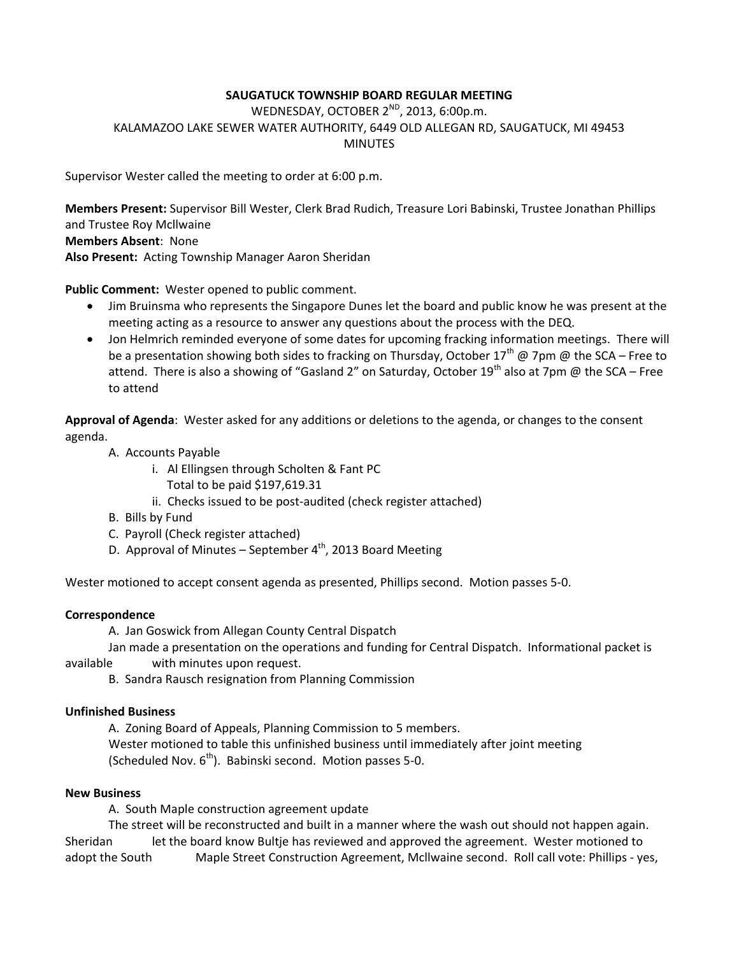# **SAUGATUCK TOWNSHIP BOARD REGULAR MEETING**

WEDNESDAY, OCTOBER 2<sup>ND</sup>, 2013, 6:00p.m. KALAMAZOO LAKE SEWER WATER AUTHORITY, 6449 OLD ALLEGAN RD, SAUGATUCK, MI 49453 MINUTES

Supervisor Wester called the meeting to order at 6:00 p.m.

**Members Present:** Supervisor Bill Wester, Clerk Brad Rudich, Treasure Lori Babinski, Trustee Jonathan Phillips and Trustee Roy Mcllwaine

**Members Absent**: None

**Also Present:** Acting Township Manager Aaron Sheridan

**Public Comment:** Wester opened to public comment.

- Jim Bruinsma who represents the Singapore Dunes let the board and public know he was present at the meeting acting as a resource to answer any questions about the process with the DEQ.
- Jon Helmrich reminded everyone of some dates for upcoming fracking information meetings. There will be a presentation showing both sides to fracking on Thursday, October 17<sup>th</sup> @ 7pm @ the SCA – Free to attend. There is also a showing of "Gasland 2" on Saturday, October 19<sup>th</sup> also at 7pm @ the SCA – Free to attend

**Approval of Agenda**: Wester asked for any additions or deletions to the agenda, or changes to the consent agenda.

- A. Accounts Payable
	- i. Al Ellingsen through Scholten & Fant PC Total to be paid \$197,619.31
	- ii. Checks issued to be post-audited (check register attached)
- B. Bills by Fund
- C. Payroll (Check register attached)
- D. Approval of Minutes September  $4^{th}$ , 2013 Board Meeting

Wester motioned to accept consent agenda as presented, Phillips second. Motion passes 5-0.

### **Correspondence**

A. Jan Goswick from Allegan County Central Dispatch

Jan made a presentation on the operations and funding for Central Dispatch. Informational packet is available with minutes upon request.

B. Sandra Rausch resignation from Planning Commission

### **Unfinished Business**

A. Zoning Board of Appeals, Planning Commission to 5 members. Wester motioned to table this unfinished business until immediately after joint meeting (Scheduled Nov.  $6<sup>th</sup>$ ). Babinski second. Motion passes 5-0.

### **New Business**

A. South Maple construction agreement update

The street will be reconstructed and built in a manner where the wash out should not happen again. Sheridan let the board know Bultje has reviewed and approved the agreement. Wester motioned to adopt the South Maple Street Construction Agreement, McIlwaine second. Roll call vote: Phillips - yes,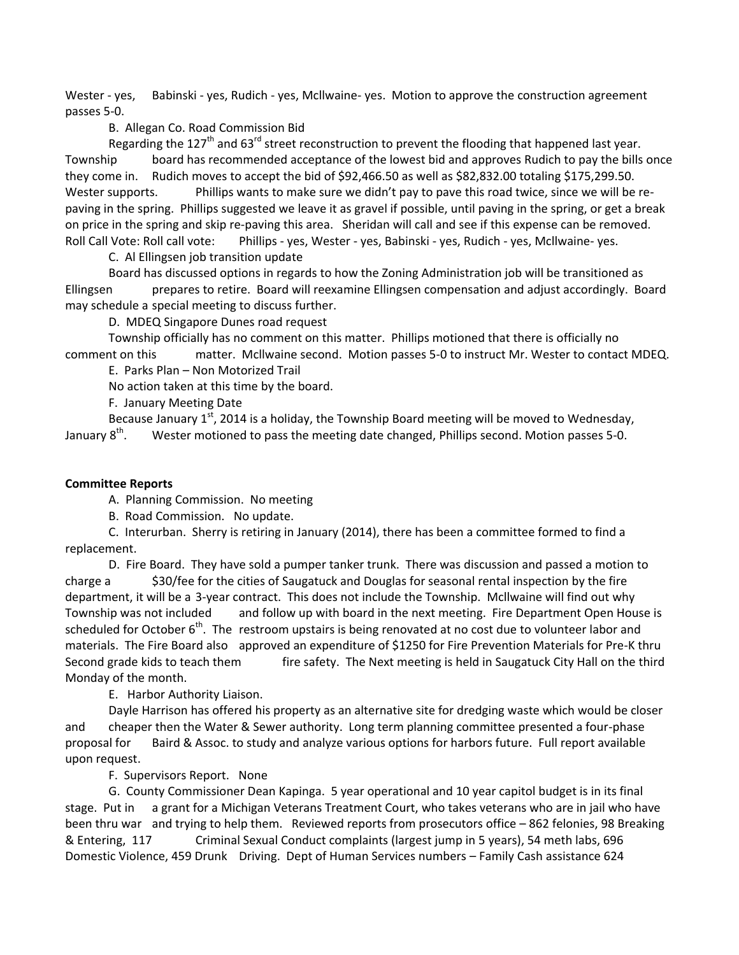Wester - yes, Babinski - yes, Rudich - yes, Mcllwaine- yes. Motion to approve the construction agreement passes 5-0.

### B. Allegan Co. Road Commission Bid

Regarding the 127<sup>th</sup> and 63<sup>rd</sup> street reconstruction to prevent the flooding that happened last year. Township board has recommended acceptance of the lowest bid and approves Rudich to pay the bills once they come in. Rudich moves to accept the bid of \$92,466.50 as well as \$82,832.00 totaling \$175,299.50. Wester supports. Phillips wants to make sure we didn't pay to pave this road twice, since we will be repaving in the spring. Phillips suggested we leave it as gravel if possible, until paving in the spring, or get a break on price in the spring and skip re-paving this area. Sheridan will call and see if this expense can be removed. Roll Call Vote: Roll call vote: Phillips - yes, Wester - yes, Babinski - yes, Rudich - yes, Mcllwaine- yes.

C. Al Ellingsen job transition update

Board has discussed options in regards to how the Zoning Administration job will be transitioned as Ellingsen prepares to retire. Board will reexamine Ellingsen compensation and adjust accordingly. Board may schedule a special meeting to discuss further.

D. MDEQ Singapore Dunes road request

Township officially has no comment on this matter. Phillips motioned that there is officially no comment on this matter. Mcllwaine second. Motion passes 5-0 to instruct Mr. Wester to contact MDEQ.

E. Parks Plan – Non Motorized Trail

No action taken at this time by the board.

F. January Meeting Date

Because January  $1<sup>st</sup>$ , 2014 is a holiday, the Township Board meeting will be moved to Wednesday, January 8<sup>th</sup>. . Wester motioned to pass the meeting date changed, Phillips second. Motion passes 5-0.

## **Committee Reports**

A. Planning Commission. No meeting

B. Road Commission. No update.

C. Interurban. Sherry is retiring in January (2014), there has been a committee formed to find a replacement.

D. Fire Board. They have sold a pumper tanker trunk. There was discussion and passed a motion to charge a \$30/fee for the cities of Saugatuck and Douglas for seasonal rental inspection by the fire department, it will be a 3-year contract. This does not include the Township. Mcllwaine will find out why Township was not included and follow up with board in the next meeting. Fire Department Open House is scheduled for October  $6<sup>th</sup>$ . The restroom upstairs is being renovated at no cost due to volunteer labor and materials. The Fire Board also approved an expenditure of \$1250 for Fire Prevention Materials for Pre-K thru Second grade kids to teach them fire safety. The Next meeting is held in Saugatuck City Hall on the third Monday of the month.

E. Harbor Authority Liaison.

Dayle Harrison has offered his property as an alternative site for dredging waste which would be closer and cheaper then the Water & Sewer authority. Long term planning committee presented a four-phase proposal for Baird & Assoc. to study and analyze various options for harbors future. Full report available upon request.

F. Supervisors Report. None

G. County Commissioner Dean Kapinga. 5 year operational and 10 year capitol budget is in its final stage. Put in a grant for a Michigan Veterans Treatment Court, who takes veterans who are in jail who have been thru war and trying to help them. Reviewed reports from prosecutors office – 862 felonies, 98 Breaking & Entering, 117 Criminal Sexual Conduct complaints (largest jump in 5 years), 54 meth labs, 696 Domestic Violence, 459 Drunk Driving. Dept of Human Services numbers – Family Cash assistance 624